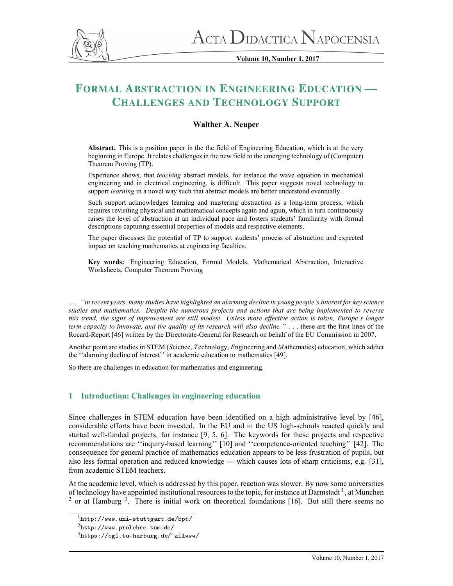

**Volume 10, Number 1, 2017**

# FORMAL ABSTRACTION IN ENGINEERING EDUCATION — CHALLENGES AND TECHNOLOGY SUPPORT

# **Walther A. Neuper**

**Abstract.** This is a position paper in the the field of Engineering Education, which is at the very beginning in Europe. It relates challenges in the new field to the emerging technology of (Computer) Theorem Proving (TP).

Experience shows, that *teaching* abstract models, for instance the wave equation in mechanical engineering and in electrical engineering, is difficult. This paper suggests novel technology to support *learning* in a novel way such that abstract models are better understood eventually.

Such support acknowledges learning and mastering abstraction as a long-term process, which requires revisiting physical and mathematical concepts again and again, which in turn continuously raises the level of abstraction at an individual pace and fosters students' familiarity with formal descriptions capturing essential properties of models and respective elements.

The paper discusses the potential of TP to support students' process of abstraction and expected impact on teaching mathematics at engineering faculties.

**Key words:** Engineering Education, Formal Models, Mathematical Abstraction, Interactive Worksheets, Computer Theorem Proving

. . . *``in recent years, many studies have highlighted an alarming decline in young people's interest for key science studies and mathematics. Despite the numerous projects and actions that are being implemented to reverse this trend, the signs of improvement are still modest. Unless more effective action is taken, Europe's longer term capacity to innovate, and the quality of its research will also decline.''* . . . these are the first lines of the Rocard-Report [46] written by the Directorate-General for Research on behalf of the EU Commission in 2007.

Another point are studies in STEM (*S*cience, *T*echnology, *E*ngineering and *M*athematics) education, which addict the "alarming decline of interest" in academic education to mathematics [49].

So there are challenges in education for mathematics and engineering.

# **1 Introduction: Challenges in engineering education**

Since challenges in STEM education have been identified on a high administrative level by [46], considerable efforts have been invested. In the EU and in the US high-schools reacted quickly and started well-funded projects, for instance [9, 5, 6]. The keywords for these projects and respective recommendations are "inquiry-based learning" [10] and "competence-oriented teaching" [42]. The consequence for general practice of mathematics education appears to be less frustration of pupils, but also less formal operation and reduced knowledge --- which causes lots of sharp criticisms, e.g. [31], from academic STEM teachers.

At the academic level, which is addressed by this paper, reaction was slower. By now some universities of technology have appointed institutional resources to the topic, for instance at Darmstadt<sup>1</sup>, at München <sup>2</sup> or at Hamburg <sup>3</sup>. There is initial work on theoretical foundations [16]. But still there seems no

 $1$ <http://www.uni-stuttgart.de/bpt/>

 $^{2}$ <http://www.prolehre.tum.de/>

 $3$ <https://cgi.tu-harburg.de/~zllwww/>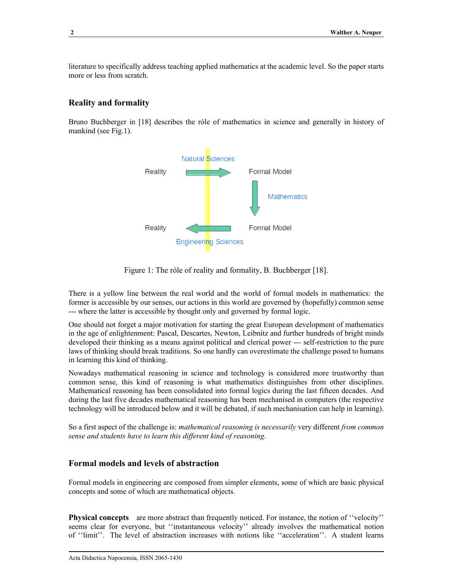literature to specifically address teaching applied mathematics at the academic level. So the paper starts more or less from scratch.

## **Reality and formality**

Bruno Buchberger in [18] describes the rôle of mathematics in science and generally in history of mankind (see Fig.1).



Figure 1: The róle of reality and formality, B. Buchberger [18].

There is a yellow line between the real world and the world of formal models in mathematics: the former is accessible by our senses, our actions in this world are governed by (hopefully) common sense --- where the latter is accessible by thought only and governed by formal logic.

One should not forget a major motivation for starting the great European development of mathematics in the age of enlightenment: Pascal, Descartes, Newton, Leibnitz and further hundreds of bright minds developed their thinking as a means against political and clerical power --- self-restriction to the pure laws of thinking should break traditions. So one hardly can overestimate the challenge posed to humans in learning this kind of thinking.

Nowadays mathematical reasoning in science and technology is considered more trustworthy than common sense, this kind of reasoning is what mathematics distinguishes from other disciplines. Mathematical reasoning has been consolidated into formal logics during the last fifteen decades. And during the last five decades mathematical reasoning has been mechanised in computers (the respective technology will be introduced below and it will be debated, if such mechanisation can help in learning).

So a first aspect of the challenge is: *mathematical reasoning is necessarily* very different *from common sense and students have to learn this different kind of reasoning.*

# **Formal models and levels of abstraction**

Formal models in engineering are composed from simpler elements, some of which are basic physical concepts and some of which are mathematical objects.

**Physical concepts** are more abstract than frequently noticed. For instance, the notion of "velocity" seems clear for everyone, but "instantaneous velocity" already involves the mathematical notion of "limit". The level of abstraction increases with notions like "acceleration". A student learns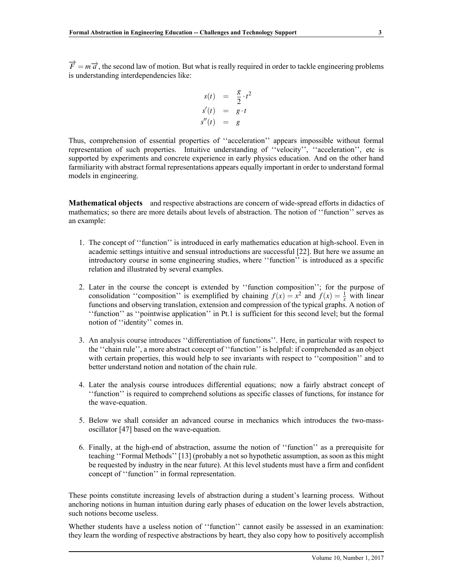$\overrightarrow{F} = m\overrightarrow{a}$ , the second law of motion. But what is really required in order to tackle engineering problems is understanding interdependencies like:

$$
s(t) = \frac{g}{2} \cdot t^2
$$
  
\n
$$
s'(t) = g \cdot t
$$
  
\n
$$
s''(t) = g
$$

Thus, comprehension of essential properties of "acceleration" appears impossible without formal representation of such properties. Intuitive understanding of "velocity", "acceleration", etc is supported by experiments and concrete experience in early physics education. And on the other hand farmiliarity with abstract formal representations appears equally important in order to understand formal models in engineering.

**Mathematical objects** and respective abstractions are concern of wide-spread efforts in didactics of mathematics; so there are more details about levels of abstraction. The notion of "function" serves as an example:

- 1. The concept of "function" is introduced in early mathematics education at high-school. Even in academic settings intuitive and sensual introductions are successful [22]. But here we assume an introductory course in some engineering studies, where "function" is introduced as a specific relation and illustrated by several examples.
- 2. Later in the course the concept is extended by "function composition"; for the purpose of consolidation "composition" is exemplified by chaining  $f(x) = x^2$  and  $f(x) = \frac{1}{x}$  with linear functions and observing translation, extension and compression of the typical graphs. A notion of ``function'' as ``pointwise application'' in Pt.1 is sufficient for this second level; but the formal notion of "identity" comes in.
- 3. An analysis course introduces ``differentiation of functions''. Here, in particular with respect to the "chain rule", a more abstract concept of "function" is helpful: if comprehended as an object with certain properties, this would help to see invariants with respect to "composition" and to better understand notion and notation of the chain rule.
- 4. Later the analysis course introduces differential equations; now a fairly abstract concept of ``function'' is required to comprehend solutions as specific classes of functions, for instance for the wave-equation.
- 5. Below we shall consider an advanced course in mechanics which introduces the two-massoscillator [47] based on the wave-equation.
- 6. Finally, at the high-end of abstraction, assume the notion of ``function'' as a prerequisite for teaching "Formal Methods" [13] (probably a not so hypothetic assumption, as soon as this might be requested by industry in the near future). At this level students must have a firm and confident concept of "function" in formal representation.

These points constitute increasing levels of abstraction during a student's learning process. Without anchoring notions in human intuition during early phases of education on the lower levels abstraction, such notions become useless.

Whether students have a useless notion of "function" cannot easily be assessed in an examination: they learn the wording of respective abstractions by heart, they also copy how to positively accomplish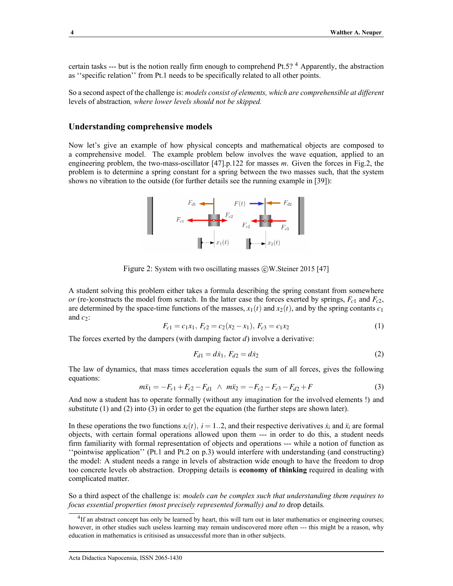certain tasks --- but is the notion really firm enough to comprehend Pt.5?<sup>4</sup> Apparently, the abstraction as "specific relation" from Pt.1 needs to be specifically related to all other points.

So a second aspect of the challenge is: *models consist of elements, which are comprehensible at different* levels of abstraction*, where lower levels should not be skipped.*

### **Understanding comprehensive models**

Now let's give an example of how physical concepts and mathematical objects are composed to a comprehensive model. The example problem below involves the wave equation, applied to an engineering problem, the two-mass-oscillator [47].p.122 for masses *m*. Given the forces in Fig.2, the problem is to determine a spring constant for a spring between the two masses such, that the system shows no vibration to the outside (for further details see the running example in [39]):

 $F_{c1}$   $F_{c2}$   $F_{c2}$   $F_{c3}$   $F_{c3}$ 

Figure 2: System with two oscillating masses ©W.Steiner 2015 [47]

A student solving this problem either takes a formula describing the spring constant from somewhere *or* (re-)constructs the model from scratch. In the latter case the forces exerted by springs,  $F_{c1}$  and  $F_{c2}$ , are determined by the space-time functions of the masses,  $x_1(t)$  and  $x_2(t)$ , and by the spring contants  $c_1$ and  $c_2$ :

$$
F_{c1} = c_1 x_1, F_{c2} = c_2 (x_2 - x_1), F_{c3} = c_1 x_2 \tag{1}
$$

The forces exerted by the dampers (with damping factor *d*) involve a derivative:

$$
F_{d1} = d\dot{x}_1, F_{d2} = d\dot{x}_2 \tag{2}
$$

The law of dynamics, that mass times acceleration equals the sum of all forces, gives the following equations:

$$
m\ddot{x}_1 = -F_{c1} + F_{c2} - F_{d1} \ \wedge \ m\ddot{x}_2 = -F_{c2} - F_{c3} - F_{d2} + F \tag{3}
$$

And now a student has to operate formally (without any imagination for the involved elements !) and substitute (1) and (2) into (3) in order to get the equation (the further steps are shown later).

In these operations the two functions  $x_i(t)$ ,  $i = 1..2$ , and their respective derivatives  $\dot{x}_i$  and  $\ddot{x}_i$  are formal objects, with certain formal operations allowed upon them --- in order to do this, a student needs firm familiarity with formal representation of objects and operations --- while a notion of function as ``pointwise application'' (Pt.1 and Pt.2 on p.3) would interfere with understanding (and constructing) the model: A student needs a range in levels of abstraction wide enough to have the freedom to drop too concrete levels ob abstraction. Dropping details is **economy of thinking** required in dealing with complicated matter.

So a third aspect of the challenge is: *models can be complex such that understanding them requires to focus essential properties (most precisely represented formally) and to* drop details*.*



<sup>&</sup>lt;sup>4</sup>If an abstract concept has only be learned by heart, this will turn out in later mathematics or engineering courses; however, in other studies such useless learning may remain undiscovered more often --- this might be a reason, why education in mathematics is critisised as unsuccessful more than in other subjects.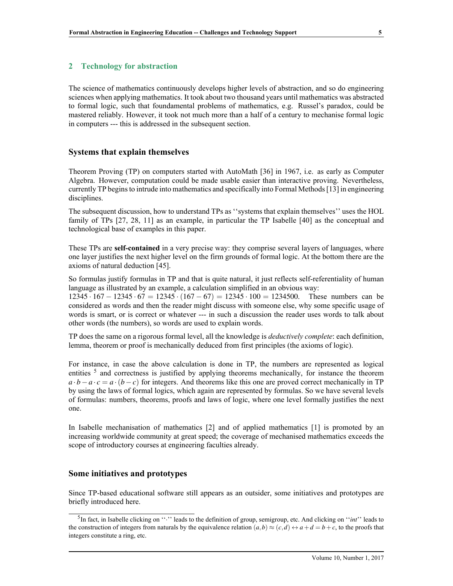The science of mathematics continuously develops higher levels of abstraction, and so do engineering sciences when applying mathematics. It took about two thousand years until mathematics was abstracted to formal logic, such that foundamental problems of mathematics, e.g. Russel's paradox, could be mastered reliably. However, it took not much more than a half of a century to mechanise formal logic in computers --- this is addressed in the subsequent section.

# **Systems that explain themselves**

Theorem Proving (TP) on computers started with AutoMath [36] in 1967, i.e. as early as Computer Algebra. However, computation could be made usable easier than interactive proving. Nevertheless, currently TP begins to intrude into mathematics and specifically into Formal Methods [13] in engineering disciplines.

The subsequent discussion, how to understand TPs as "systems that explain themselves" uses the HOL family of TPs [27, 28, 11] as an example, in particular the TP Isabelle [40] as the conceptual and technological base of examples in this paper.

These TPs are **self-contained** in a very precise way: they comprise several layers of languages, where one layer justifies the next higher level on the firm grounds of formal logic. At the bottom there are the axioms of natural deduction [45].

So formulas justify formulas in TP and that is quite natural, it just reflects self-referentiality of human language as illustrated by an example, a calculation simplified in an obvious way:

12345 · 167 − 12345 · 67 = 12345 · (167 − 67) = 12345 · 100 = 1234500. These numbers can be considered as words and then the reader might discuss with someone else, why some specific usage of words is smart, or is correct or whatever --- in such a discussion the reader uses words to talk about other words (the numbers), so words are used to explain words.

TP does the same on a rigorous formal level, all the knowledge is *deductively complete*: each definition, lemma, theorem or proof is mechanically deduced from first principles (the axioms of logic).

For instance, in case the above calculation is done in TP, the numbers are represented as logical entities <sup>5</sup> and correctness is justified by applying theorems mechanically, for instance the theorem  $a \cdot b - a \cdot c = a \cdot (b - c)$  for integers. And theorems like this one are proved correct mechanically in TP by using the laws of formal logics, which again are represented by formulas. So we have several levels of formulas: numbers, theorems, proofs and laws of logic, where one level formally justifies the next one.

In Isabelle mechanisation of mathematics [2] and of applied mathematics [1] is promoted by an increasing worldwide community at great speed; the coverage of mechanised mathematics exceeds the scope of introductory courses at engineering faculties already.

## **Some initiatives and prototypes**

Since TP-based educational software still appears as an outsider, some initiatives and prototypes are briefly introduced here.

<sup>&</sup>lt;sup>5</sup>In fact, in Isabelle clicking on " $\cdot$ " leads to the definition of group, semigroup, etc. And clicking on "*int*" leads to the construction of integers from naturals by the equivalence relation  $(a,b) \approx (c,d) \leftrightarrow a+d=b+c$ , to the proofs that integers constitute a ring, etc.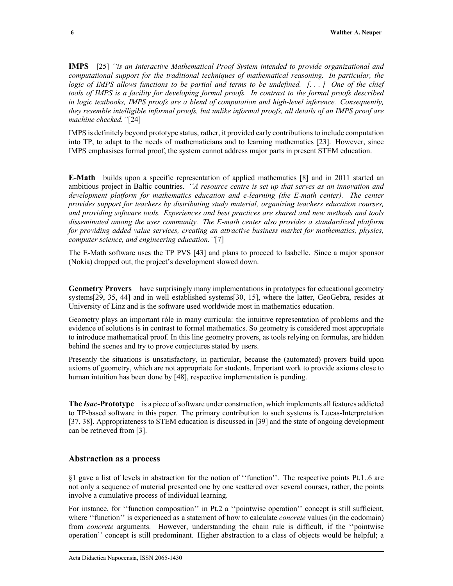**IMPS** [25] *``is an Interactive Mathematical Proof System intended to provide organizational and computational support for the traditional techniques of mathematical reasoning. In particular, the logic of IMPS allows functions to be partial and terms to be undefined. [. . . ] One of the chief tools of IMPS is a facility for developing formal proofs. In contrast to the formal proofs described in logic textbooks, IMPS proofs are a blend of computation and high-level inference. Consequently, they resemble intelligible informal proofs, but unlike informal proofs, all details of an IMPS proof are machine checked.''*[24]

IMPS is definitely beyond prototype status, rather, it provided early contributions to include computation into TP, to adapt to the needs of mathematicians and to learning mathematics [23]. However, since IMPS emphasises formal proof, the system cannot address major parts in present STEM education.

**E-Math** builds upon a specific representation of applied mathematics [8] and in 2011 started an ambitious project in Baltic countries. *``A resource centre is set up that serves as an innovation and development platform for mathematics education and e-learning (the E-math center). The center provides support for teachers by distributing study material, organizing teachers education courses, and providing software tools. Experiences and best practices are shared and new methods and tools disseminated among the user community. The E-math center also provides a standardized platform for providing added value services, creating an attractive business market for mathematics, physics, computer science, and engineering education.''*[7]

The E-Math software uses the TP PVS [43] and plans to proceed to Isabelle. Since a major sponsor (Nokia) dropped out, the project's development slowed down.

**Geometry Provers** have surprisingly many implementations in prototypes for educational geometry systems[29, 35, 44] and in well established systems[30, 15], where the latter, GeoGebra, resides at University of Linz and is the software used worldwide most in mathematics education.

Geometry plays an important rôle in many curricula: the intuitive representation of problems and the evidence of solutions is in contrast to formal mathematics. So geometry is considered most appropriate to introduce mathematical proof. In this line geometry provers, as tools relying on formulas, are hidden behind the scenes and try to prove conjectures stated by users.

Presently the situations is unsatisfactory, in particular, because the (automated) provers build upon axioms of geometry, which are not appropriate for students. Important work to provide axioms close to human intuition has been done by [48], respective implementation is pending.

**The** *Isac***-Prototype** is a piece of software under construction, which implements all features addicted to TP-based software in this paper. The primary contribution to such systems is Lucas-Interpretation [37, 38]. Appropriateness to STEM education is discussed in [39] and the state of ongoing development can be retrieved from [3].

## **Abstraction as a process**

 $§1$  gave a list of levels in abstraction for the notion of "function". The respective points Pt.1..6 are not only a sequence of material presented one by one scattered over several courses, rather, the points involve a cumulative process of individual learning.

For instance, for "function composition" in Pt.2 a "pointwise operation" concept is still sufficient, where "function" is experienced as a statement of how to calculate *concrete* values (in the codomain) from *concrete* arguments. However, understanding the chain rule is difficult, if the "pointwise" operation'' concept is still predominant. Higher abstraction to a class of objects would be helpful; a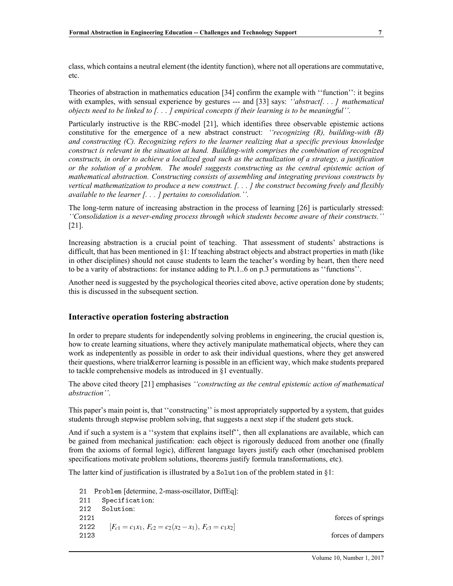class, which contains a neutral element (the identity function), where not all operations are commutative, etc.

Theories of abstraction in mathematics education [34] confirm the example with ``function'': it begins with examples, with sensual experience by gestures --- and [33] says: *'abstract[...]* mathematical *objects need to be linked to [. . . ] empirical concepts if their learning is to be meaningful''*.

Particularly instructive is the RBC-model [21], which identifies three observable epistemic actions constitutive for the emergence of a new abstract construct: *``recognizing (R), building-with (B) and constructing (C). Recognizing refers to the learner realizing that a specific previous knowledge construct is relevant in the situation at hand. Building-with comprises the combination of recognized constructs, in order to achieve a localized goal such as the actualization of a strategy, a justification or the solution of a problem. The model suggests constructing as the central epistemic action of mathematical abstraction. Constructing consists of assembling and integrating previous constructs by vertical mathematization to produce a new construct. [. . . ] the construct becoming freely and flexibly available to the learner [. . . ] pertains to consolidation.''*.

The long-term nature of increasing abstraction in the process of learning [26] is particularly stressed: *``Consolidation is a never-ending process through which students become aware of their constructs.''* [21].

Increasing abstraction is a crucial point of teaching. That assessment of students' abstractions is difficult, that has been mentioned in  $\S1$ : If teaching abstract objects and abstract properties in math (like in other disciplines) should not cause students to learn the teacher's wording by heart, then there need to be a varity of abstractions: for instance adding to Pt.1..6 on p.3 permutations as ``functions''.

Another need is suggested by the psychological theories cited above, active operation done by students; this is discussed in the subsequent section.

### **Interactive operation fostering abstraction**

In order to prepare students for independently solving problems in engineering, the crucial question is, how to create learning situations, where they actively manipulate mathematical objects, where they can work as indepentently as possible in order to ask their individual questions, where they get answered their questions, where trial&error learning is possible in an efficient way, which make students prepared to tackle comprehensive models as introduced in  $\S1$  eventually.

The above cited theory [21] emphasises *``constructing as the central epistemic action of mathematical abstraction''*.

This paper's main point is, that "constructing" is most appropriately supported by a system, that guides students through stepwise problem solving, that suggests a next step if the student gets stuck.

And if such a system is a "system that explains itself", then all explanations are available, which can be gained from mechanical justification: each object is rigorously deduced from another one (finally from the axioms of formal logic), different language layers justify each other (mechanised problem specifications motivate problem solutions, theorems justify formula transformations, etc).

The latter kind of justification is illustrated by a Solution of the problem stated in  $\S1$ :

21 Problem [determine, 2-mass-oscillator, DiffEq]: 211 Specification: 212 Solution: 2121 **forces of springs** 2122  $[F_{c1} = c_1x_1, F_{c2} = c_2(x_2 - x_1), F_{c3} = c_1x_2]$ 2123 forces of dampers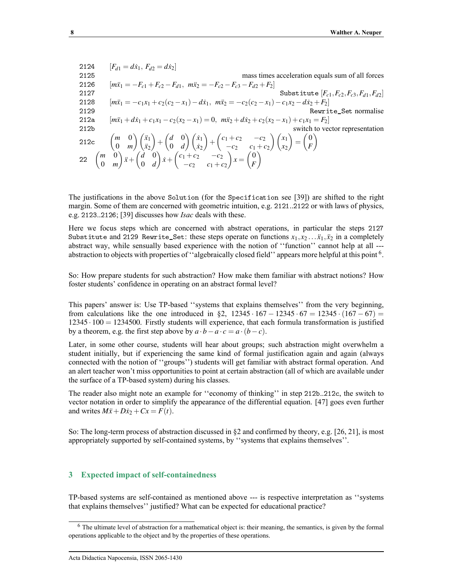2124 
$$
[F_{d1} = d\dot{x}_1, F_{d2} = d\dot{x}_2]
$$
mass times acceleration equals sum of all forces  
\n2126 
$$
[m\ddot{x}_1 = -F_{c1} + F_{c2} - F_{d1}, m\ddot{x}_2 = -F_{c2} - F_{c3} - F_{d2} + F_2]
$$
  
\n2127 Substitute  $[F_{c1}, F_{c2}, F_{c3}, F_{d1}, F_{d2}]$   
\n2128 
$$
[m\ddot{x}_1 = -c_1x_1 + c_2(c_2 - x_1) - d\dot{x}_1, m\ddot{x}_2 = -c_2(c_2 - x_1) - c_1x_2 - d\dot{x}_2 + F_2]
$$
  
\n2129 
$$
[m\ddot{x}_1 + d\dot{x}_1 + c_1x_1 - c_2(x_2 - x_1) = 0, m\ddot{x}_2 + d\dot{x}_2 + c_2(x_2 - x_1) + c_1x_1 = F_2]
$$
  
\n212b switch to vector representation  
\n212c 
$$
\begin{pmatrix} m & 0 \\ 0 & m \end{pmatrix} \begin{pmatrix} \ddot{x}_1 \\ \ddot{x}_2 \end{pmatrix} + \begin{pmatrix} d & 0 \\ 0 & d \end{pmatrix} \begin{pmatrix} \dot{x}_1 \\ \dot{x}_2 \end{pmatrix} + \begin{pmatrix} c_1 + c_2 & -c_2 \\ -c_2 & c_1 + c_2 \end{pmatrix} \begin{pmatrix} x_1 \\ x_2 \end{pmatrix} = \begin{pmatrix} 0 \\ F \end{pmatrix}
$$
  
\n22 
$$
\begin{pmatrix} m & 0 \\ 0 & m \end{pmatrix} \ddot{x} + \begin{pmatrix} d & 0 \\ 0 & d \end{pmatrix} \dot{x} + \begin{pmatrix} c_1 + c_2 & -c_2 \\ -c_2 & c_1 + c_2 \end{pmatrix} x = \begin{pmatrix} 0 \\ F \end{pmatrix}
$$

The justifications in the above Solution (for the Specification see [39]) are shifted to the right margin. Some of them are concerned with geometric intuition, e.g. 2121..2122 or with laws of physics, e.g. 2123..2126; [39] discusses how *Isac* deals with these.

Here we focus steps which are concerned with abstract operations, in particular the steps 2127 Substitute and 2129 Rewrite\_Set: these steps operate on functions  $x_1, x_2 \ldots x_1, x_2$  in a completely abstract way, while sensually based experience with the notion of "function" cannot help at all --abstraction to objects with properties of "algebraically closed field" appears more helpful at this point  $^6$ .

So: How prepare students for such abstraction? How make them familiar with abstract notions? How foster students' confidence in operating on an abstract formal level?

This papers' answer is: Use TP-based "systems that explains themselves" from the very beginning, from calculations like the one introduced in §2,  $12345 \cdot 167 - 12345 \cdot 67 = 12345 \cdot (167 - 67) =$ 12345 · 100 = 1234500. Firstly students will experience, that each formula transformation is justified by a theorem, e.g. the first step above by  $a \cdot b - a \cdot c = a \cdot (b - c)$ .

Later, in some other course, students will hear about groups; such abstraction might overwhelm a student initially, but if experiencing the same kind of formal justification again and again (always connected with the notion of "groups") students will get familiar with abstract formal operation. And an alert teacher won't miss opportunities to point at certain abstraction (all of which are available under the surface of a TP-based system) during his classes.

The reader also might note an example for "economy of thinking" in step 212b..212c, the switch to vector notation in order to simplify the appearance of the differential equation. [47] goes even further and writes  $M\ddot{x} + D\dot{x}_2 + Cx = F(t)$ .

So: The long-term process of abstraction discussed in  $\S 2$  and confirmed by theory, e.g. [26, 21], is most appropriately supported by self-contained systems, by "systems that explains themselves".

#### **3 Expected impact of self-containedness**

TP-based systems are self-contained as mentioned above --- is respective interpretation as ``systems that explains themselves'' justified? What can be expected for educational practice?

<sup>6</sup> The ultimate level of abstraction for a mathematical object is: their meaning, the semantics, is given by the formal operations applicable to the object and by the properties of these operations.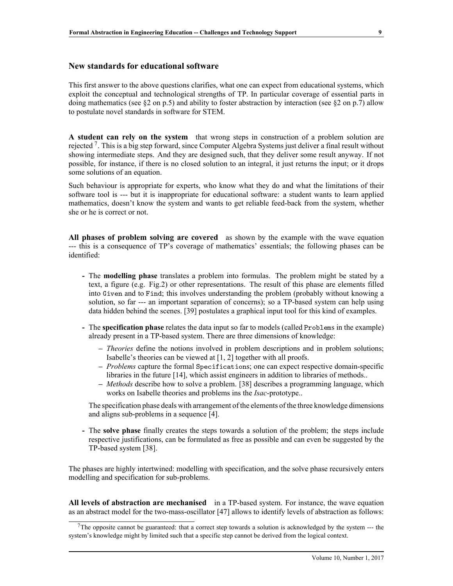## **New standards for educational software**

This first answer to the above questions clarifies, what one can expect from educational systems, which exploit the conceptual and technological strengths of TP. In particular coverage of essential parts in doing mathematics (see  $\S2$  on p.5) and ability to foster abstraction by interaction (see  $\S2$  on p.7) allow to postulate novel standards in software for STEM.

**A student can rely on the system** that wrong steps in construction of a problem solution are rejected<sup>7</sup>. This is a big step forward, since Computer Algebra Systems just deliver a final result without showing intermediate steps. And they are designed such, that they deliver some result anyway. If not possible, for instance, if there is no closed solution to an integral, it just returns the input; or it drops some solutions of an equation.

Such behaviour is appropriate for experts, who know what they do and what the limitations of their software tool is --- but it is inappropriate for educational software: a student wants to learn applied mathematics, doesn't know the system and wants to get reliable feed-back from the system, whether she or he is correct or not.

**All phases of problem solving are covered** as shown by the example with the wave equation --- this is a consequence of TP's coverage of mathematics' essentials; the following phases can be identified:

- **-** The **modelling phase** translates a problem into formulas. The problem might be stated by a text, a figure (e.g. Fig.2) or other representations. The result of this phase are elements filled into Given and to Find; this involves understanding the problem (probably without knowing a solution, so far --- an important separation of concerns); so a TP-based system can help using data hidden behind the scenes. [39] postulates a graphical input tool for this kind of examples.
- **-** The **specification phase** relates the data input so far to models (called Problems in the example) already present in a TP-based system. There are three dimensions of knowledge:
	- *Theories* define the notions involved in problem descriptions and in problem solutions; Isabelle's theories can be viewed at [1, 2] together with all proofs.
	- *Problems* capture the formal Specifications; one can expect respective domain-specific libraries in the future [14], which assist engineers in addition to libraries of methods..
	- *Methods* describe how to solve a problem. [38] describes a programming language, which works on Isabelle theories and problems ins the *Isac*-prototype..

The specification phase deals with arrangement of the elements of the three knowledge dimensions and aligns sub-problems in a sequence [4].

**-** The **solve phase** finally creates the steps towards a solution of the problem; the steps include respective justifications, can be formulated as free as possible and can even be suggested by the TP-based system [38].

The phases are highly intertwined: modelling with specification, and the solve phase recursively enters modelling and specification for sub-problems.

**All levels of abstraction are mechanised** in a TP-based system. For instance, the wave equation as an abstract model for the two-mass-oscillator [47] allows to identify levels of abstraction as follows:

The opposite cannot be guaranteed: that a correct step towards a solution is acknowledged by the system  $-$ -- the system's knowledge might by limited such that a specific step cannot be derived from the logical context.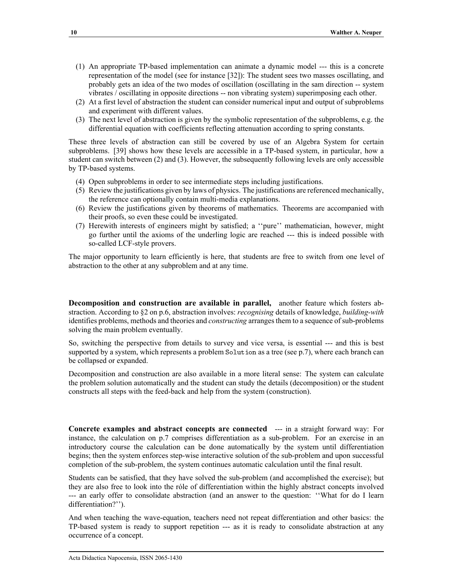- (1) An appropriate TP-based implementation can animate a dynamic model --- this is a concrete representation of the model (see for instance [32]): The student sees two masses oscillating, and probably gets an idea of the two modes of oscillation (oscillating in the sam direction -- system vibrates / oscillating in opposite directions -- non vibrating system) superimposing each other.
- (2) At a first level of abstraction the student can consider numerical input and output of subproblems and experiment with different values.
- (3) The next level of abstraction is given by the symbolic representation of the subproblems, e.g. the differential equation with coefficients reflecting attenuation according to spring constants.

These three levels of abstraction can still be covered by use of an Algebra System for certain subproblems. [39] shows how these levels are accessible in a TP-based system, in particular, how a student can switch between (2) and (3). However, the subsequently following levels are only accessible by TP-based systems.

- (4) Open subproblems in order to see intermediate steps including justifications.
- (5) Review the justifications given by laws of physics. The justifications are referenced mechanically, the reference can optionally contain multi-media explanations.
- (6) Review the justifications given by theorems of mathematics. Theorems are accompanied with their proofs, so even these could be investigated.
- (7) Herewith interests of engineers might by satisfied; a ``pure'' mathematician, however, might go further until the axioms of the underling logic are reached --- this is indeed possible with so-called LCF-style provers.

The major opportunity to learn efficiently is here, that students are free to switch from one level of abstraction to the other at any subproblem and at any time.

**Decomposition and construction are available in parallel,** another feature which fosters abstraction. According to §2 on p.6, abstraction involves: *recognising* details of knowledge, *building-with* identifies problems, methods and theories and *constructing* arranges them to a sequence of sub-problems solving the main problem eventually.

So, switching the perspective from details to survey and vice versa, is essential --- and this is best supported by a system, which represents a problem Solution as a tree (see p.7), where each branch can be collapsed or expanded.

Decomposition and construction are also available in a more literal sense: The system can calculate the problem solution automatically and the student can study the details (decomposition) or the student constructs all steps with the feed-back and help from the system (construction).

**Concrete examples and abstract concepts are connected** --- in a straight forward way: For instance, the calculation on p.7 comprises differentiation as a sub-problem. For an exercise in an introductory course the calculation can be done automatically by the system until differentiation begins; then the system enforces step-wise interactive solution of the sub-problem and upon successful completion of the sub-problem, the system continues automatic calculation until the final result.

Students can be satisfied, that they have solved the sub-problem (and accomplished the exercise); but they are also free to look into the rôle of differentiation within the highly abstract concepts involved --- an early offer to consolidate abstraction (and an answer to the question: "What for do I learn differentiation?").

And when teaching the wave-equation, teachers need not repeat differentiation and other basics: the TP-based system is ready to support repetition --- as it is ready to consolidate abstraction at any occurrence of a concept.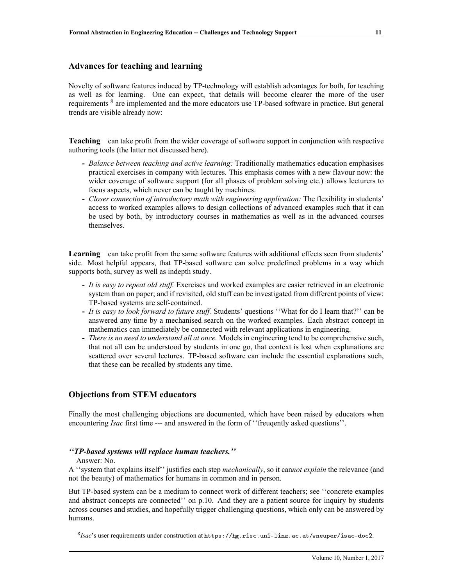## **Advances for teaching and learning**

Novelty of software features induced by TP-technology will establish advantages for both, for teaching as well as for learning. One can expect, that details will become clearer the more of the user requirements <sup>8</sup> are implemented and the more educators use TP-based software in practice. But general trends are visible already now:

**Teaching** can take profit from the wider coverage of software support in conjunction with respective authoring tools (the latter not discussed here).

- **-** *Balance between teaching and active learning:* Traditionally mathematics education emphasises practical exercises in company with lectures. This emphasis comes with a new flavour now: the wider coverage of software support (for all phases of problem solving etc.) allows lecturers to focus aspects, which never can be taught by machines.
- **-** *Closer connection of introductory math with engineering application:* The flexibility in students' access to worked examples allows to design collections of advanced examples such that it can be used by both, by introductory courses in mathematics as well as in the advanced courses themselves.

**Learning** can take profit from the same software features with additional effects seen from students' side. Most helpful appears, that TP-based software can solve predefined problems in a way which supports both, survey as well as indepth study.

- **-** *It is easy to repeat old stuff.* Exercises and worked examples are easier retrieved in an electronic system than on paper; and if revisited, old stuff can be investigated from different points of view: TP-based systems are self-contained.
- **-** *It is easy to look forward to future stuff.* Students' questions ``What for do I learn that?'' can be answered any time by a mechanised search on the worked examples. Each abstract concept in mathematics can immediately be connected with relevant applications in engineering.
- **-** *There is no need to understand all at once.* Models in engineering tend to be comprehensive such, that not all can be understood by students in one go, that context is lost when explanations are scattered over several lectures. TP-based software can include the essential explanations such, that these can be recalled by students any time.

# **Objections from STEM educators**

Finally the most challenging objections are documented, which have been raised by educators when encountering *Isac* first time --- and answered in the form of "freugently asked questions".

#### *``TP-based systems will replace human teachers.''*

Answer: No.

A ``system that explains itself'' justifies each step *mechanically*, so it can*not explain* the relevance (and not the beauty) of mathematics for humans in common and in person.

But TP-based system can be a medium to connect work of different teachers; see "concrete examples and abstract concepts are connected'' on p.10. And they are a patient source for inquiry by students across courses and studies, and hopefully trigger challenging questions, which only can be answered by humans.

<sup>8</sup> *Isac*'s user requirements under construction at <https://hg.risc.uni-linz.ac.at/wneuper/isac-doc2>.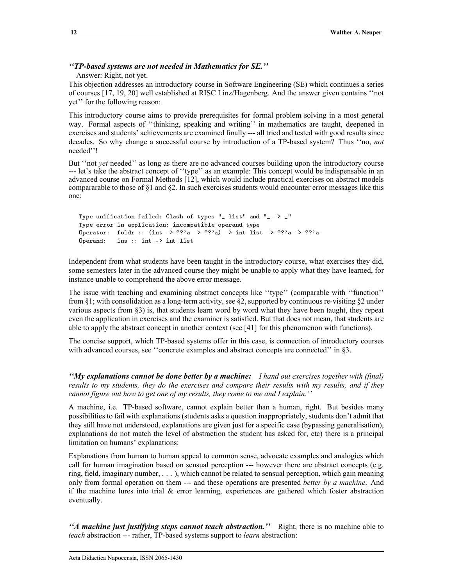## *``TP-based systems are not needed in Mathematics for SE.''*

Answer: Right, not yet.

This objection addresses an introductory course in Software Engineering (SE) which continues a series of courses [17, 19, 20] well established at RISC Linz/Hagenberg. And the answer given contains ``not yet'' for the following reason:

This introductory course aims to provide prerequisites for formal problem solving in a most general way. Formal aspects of "thinking, speaking and writing" in mathematics are taught, deepened in exercises and students' achievements are examined finally --- all tried and tested with good results since decades. So why change a successful course by introduction of a TP-based system? Thus ``no, *not* needed''!

But "not *yet* needed" as long as there are no advanced courses building upon the introductory course --- let's take the abstract concept of ``type'' as an example: This concept would be indispensable in an advanced course on Formal Methods [12], which would include practical exercises on abstract models compararable to those of  $\S1$  and  $\S2$ . In such exercises students would encounter error messages like this one:

```
Type unification failed: Clash of types "_ list" and "_ -> _"
Type error in application: incompatible operand type
Operator: foldr :: (int -> ??'a -> ??'a) -> int list -> ??'a -> ??'a
Operand: ins :: int -> int list
```
Independent from what students have been taught in the introductory course, what exercises they did, some semesters later in the advanced course they might be unable to apply what they have learned, for instance unable to comprehend the above error message.

The issue with teaching and examining abstract concepts like "type" (comparable with "function" from §1; with consolidation as a long-term activity, see §2, supported by continuous re-visiting §2 under various aspects from  $\S$ ) is, that students learn word by word what they have been taught, they repeat even the application in exercises and the examiner is satisfied. But that does not mean, that students are able to apply the abstract concept in another context (see [41] for this phenomenon with functions).

The concise support, which TP-based systems offer in this case, is connection of introductory courses with advanced courses, see "concrete examples and abstract concepts are connected" in  $\S$ 3.

*``My explanations cannot be done better by a machine: I hand out exercises together with (final) results to my students, they do the exercises and compare their results with my results, and if they cannot figure out how to get one of my results, they come to me and I explain.''*

A machine, i.e. TP-based software, cannot explain better than a human, right. But besides many possibilities to fail with explanations (students asks a question inappropriately, students don't admit that they still have not understood, explanations are given just for a specific case (bypassing generalisation), explanations do not match the level of abstraction the student has asked for, etc) there is a principal limitation on humans' explanations:

Explanations from human to human appeal to common sense, advocate examples and analogies which call for human imagination based on sensual perception --- however there are abstract concepts (e.g. ring, field, imaginary number, . . . ), which cannot be related to sensual perception, which gain meaning only from formal operation on them --- and these operations are presented *better by a machine*. And if the machine lures into trial & error learning, experiences are gathered which foster abstraction eventually.

*``A machine just justifying steps cannot teach abstraction.''* Right, there is no machine able to *teach* abstraction --- rather, TP-based systems support to *learn* abstraction: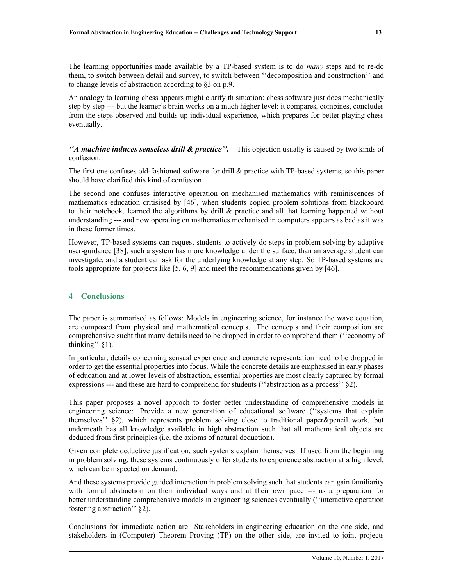The learning opportunities made available by a TP-based system is to do *many* steps and to re-do them, to switch between detail and survey, to switch between ``decomposition and construction'' and to change levels of abstraction according to  $\S$ 3 on p.9.

An analogy to learning chess appears might clarify th situation: chess software just does mechanically step by step --- but the learner's brain works on a much higher level: it compares, combines, concludes from the steps observed and builds up individual experience, which prepares for better playing chess eventually.

*``A machine induces senseless drill & practice''.* This objection usually is caused by two kinds of confusion:

The first one confuses old-fashioned software for drill & practice with TP-based systems; so this paper should have clarified this kind of confusion

The second one confuses interactive operation on mechanised mathematics with reminiscences of mathematics education critisised by [46], when students copied problem solutions from blackboard to their notebook, learned the algorithms by drill & practice and all that learning happened without understanding --- and now operating on mathematics mechanised in computers appears as bad as it was in these former times.

However, TP-based systems can request students to actively do steps in problem solving by adaptive user-guidance [38], such a system has more knowledge under the surface, than an average student can investigate, and a student can ask for the underlying knowledge at any step. So TP-based systems are tools appropriate for projects like [5, 6, 9] and meet the recommendations given by [46].

# **4 Conclusions**

The paper is summarised as follows: Models in engineering science, for instance the wave equation, are composed from physical and mathematical concepts. The concepts and their composition are comprehensive sucht that many details need to be dropped in order to comprehend them ("economy of thinking"  $§1$ ).

In particular, details concerning sensual experience and concrete representation need to be dropped in order to get the essential properties into focus. While the concrete details are emphasised in early phases of education and at lower levels of abstraction, essential properties are most clearly captured by formal expressions  $--$  and these are hard to comprehend for students ("abstraction as a process"  $\S$ 2).

This paper proposes a novel approch to foster better understanding of comprehensive models in engineering science: Provide a new generation of educational software ("systems that explain themselves''  $\S$ 2), which represents problem solving close to traditional paper&pencil work, but underneath has all knowledge available in high abstraction such that all mathematical objects are deduced from first principles (i.e. the axioms of natural deduction).

Given complete deductive justification, such systems explain themselves. If used from the beginning in problem solving, these systems continuously offer students to experience abstraction at a high level, which can be inspected on demand.

And these systems provide guided interaction in problem solving such that students can gain familiarity with formal abstraction on their individual ways and at their own pace --- as a preparation for better understanding comprehensive models in engineering sciences eventually ("interactive operation") fostering abstraction"  $\S$ 2).

Conclusions for immediate action are: Stakeholders in engineering education on the one side, and stakeholders in (Computer) Theorem Proving (TP) on the other side, are invited to joint projects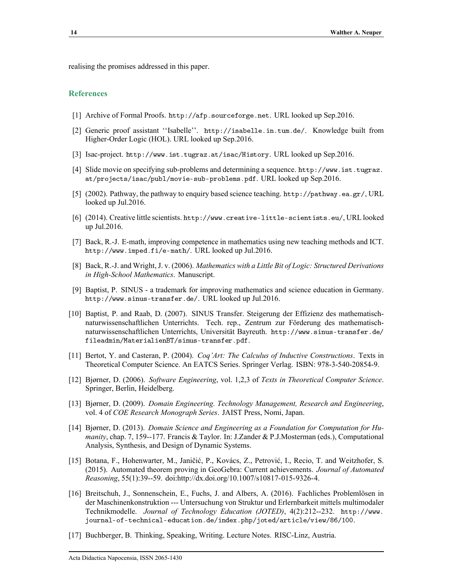realising the promises addressed in this paper.

#### **References**

- [1] Archive of Formal Proofs. <http://afp.sourceforge.net>. URL looked up Sep.2016.
- [2] Generic proof assistant "Isabelle". <http://isabelle.in.tum.de/>. Knowledge built from Higher-Order Logic (HOL). URL looked up Sep.2016.
- [3] Isac-project. <http://www.ist.tugraz.at/isac/History>. URL looked up Sep.2016.
- [4] Slide movie on specifying sub-problems and determining a sequence. [http://www.ist.tugraz.](http://www.ist.tugraz.at/projects/isac/publ/movie-sub-problems.pdf) [at/projects/isac/publ/movie-sub-problems.pdf](http://www.ist.tugraz.at/projects/isac/publ/movie-sub-problems.pdf). URL looked up Sep.2016.
- [5] (2002). Pathway, the pathway to enquiry based science teaching. <http://pathway.ea.gr/>, URL looked up Jul.2016.
- [6] (2014). Creative little scientists. <http://www.creative-little-scientists.eu/>, URL looked up Jul.2016.
- [7] Back, R.-J. E-math, improving competence in mathematics using new teaching methods and ICT. <http://www.imped.fi/e-math/>. URL looked up Jul.2016.
- [8] Back, R.-J. and Wright, J. v. (2006). *Mathematics with a Little Bit of Logic: Structured Derivations in High-School Mathematics*. Manuscript.
- [9] Baptist, P. SINUS a trademark for improving mathematics and science education in Germany. <http://www.sinus-transfer.de/>. URL looked up Jul.2016.
- [10] Baptist, P. and Raab, D. (2007). SINUS Transfer. Steigerung der Effizienz des mathematischnaturwissenschaftlichen Unterrichts. Tech. rep., Zentrum zur Fˆrderung des mathematischnaturwissenschaftlichen Unterrichts, Universität Bayreuth. [http://www.sinus-transfer.de/](http://www.sinus-transfer.de/fileadmin/MaterialienBT/sinus-transfer.pdf) [fileadmin/MaterialienBT/sinus-transfer.pdf](http://www.sinus-transfer.de/fileadmin/MaterialienBT/sinus-transfer.pdf).
- [11] Bertot, Y. and Casteran, P. (2004). *Coq'Art: The Calculus of Inductive Constructions*. Texts in Theoretical Computer Science. An EATCS Series. Springer Verlag. ISBN: 978-3-540-20854-9.
- [12] Bjørner, D. (2006). *Software Engineering*, vol. 1,2,3 of *Texts in Theoretical Computer Science*. Springer, Berlin, Heidelberg.
- [13] Bjørner, D. (2009). *Domain Engineering. Technology Management, Research and Engineering*, vol. 4 of *COE Research Monograph Series*. JAIST Press, Nomi, Japan.
- [14] Bjørner, D. (2013). *Domain Science and Engineering as a Foundation for Computation for Humanity*, chap. 7, 159--177. Francis & Taylor. In: J.Zander & P.J.Mosterman (eds.), Computational Analysis, Synthesis, and Design of Dynamic Systems.
- [15] Botana, F., Hohenwarter, M., Janičić, P., Kovács, Z., Petrović, I., Recio, T. and Weitzhofer, S. (2015). Automated theorem proving in GeoGebra: Current achievements. *Journal of Automated Reasoning*, 55(1):39--59. doi:http://dx.doi.org/10.1007/s10817-015-9326-4.
- [16] Breitschuh, J., Sonnenschein, E., Fuchs, J. and Albers, A. (2016). Fachliches Problemlösen in der Maschinenkonstruktion --- Untersuchung von Struktur und Erlernbarkeit mittels multimodaler Technikmodelle. *Journal of Technology Education (JOTED)*, 4(2):212--232. [http://www.](http://www.journal-of-technical-education.de/index.php/joted/article/view/86/100) [journal-of-technical-education.de/index.php/joted/article/view/86/100](http://www.journal-of-technical-education.de/index.php/joted/article/view/86/100).
- [17] Buchberger, B. Thinking, Speaking, Writing. Lecture Notes. RISC-Linz, Austria.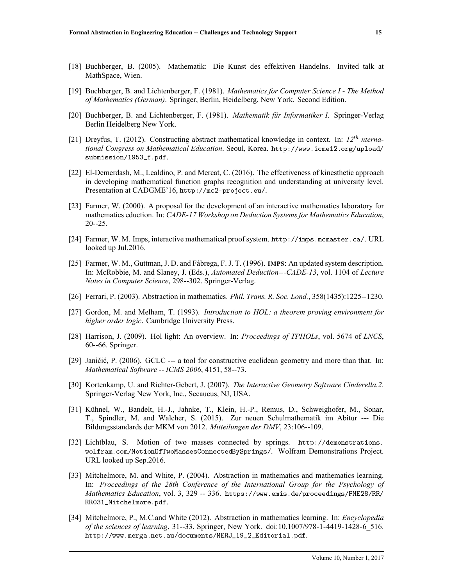- [18] Buchberger, B. (2005). Mathematik: Die Kunst des effektiven Handelns. Invited talk at MathSpace, Wien.
- [19] Buchberger, B. and Lichtenberger, F. (1981). *Mathematics for Computer Science I The Method of Mathematics (German)*. Springer, Berlin, Heidelberg, New York. Second Edition.
- [20] Buchberger, B. and Lichtenberger, F. (1981). *Mathematik für Informatiker I*. Springer-Verlag Berlin Heidelberg New York.
- [21] Dreyfus, T. (2012). Constructing abstract mathematical knowledge in context. In: *12th nternational Congress on Mathematical Education*. Seoul, Korea. [http://www.icme12.org/upload/](http://www.icme12.org/upload/submission/1953_f.pdf) [submission/1953\\_f.pdf](http://www.icme12.org/upload/submission/1953_f.pdf).
- [22] El-Demerdash, M., Lealdino, P. and Mercat, C. (2016). The effectiveness of kinesthetic approach in developing mathematical function graphs recognition and understanding at university level. Presentation at CADGME'16, <http://mc2-project.eu/>.
- [23] Farmer, W. (2000). A proposal for the development of an interactive mathematics laboratory for mathematics eduction. In: *CADE-17 Workshop on Deduction Systems for Mathematics Education*, 20--25.
- [24] Farmer, W. M. Imps, interactive mathematical proof system. <http://imps.mcmaster.ca/>. URL looked up Jul.2016.
- [25] Farmer, W. M., Guttman, J. D. and Fábrega, F. J. T. (1996). IMPS: An updated system description. In: McRobbie, M. and Slaney, J. (Eds.), *Automated Deduction---CADE-13*, vol. 1104 of *Lecture Notes in Computer Science*, 298--302. Springer-Verlag.
- [26] Ferrari, P. (2003). Abstraction in mathematics. *Phil. Trans. R. Soc. Lond.*, 358(1435):1225--1230.
- [27] Gordon, M. and Melham, T. (1993). *Introduction to HOL: a theorem proving environment for higher order logic*. Cambridge University Press.
- [28] Harrison, J. (2009). Hol light: An overview. In: *Proceedings of TPHOLs*, vol. 5674 of *LNCS*, 60--66. Springer.
- [29] Janičić, P. (2006). GCLC --- a tool for constructive euclidean geometry and more than that. In: *Mathematical Software -- ICMS 2006*, 4151, 58--73.
- [30] Kortenkamp, U. and Richter-Gebert, J. (2007). *The Interactive Geometry Software Cinderella.2*. Springer-Verlag New York, Inc., Secaucus, NJ, USA.
- [31] Kühnel, W., Bandelt, H.-J., Jahnke, T., Klein, H.-P., Remus, D., Schweighofer, M., Sonar, T., Spindler, M. and Walcher, S. (2015). Zur neuen Schulmathematik im Abitur --- Die Bildungsstandards der MKM von 2012. *Mitteilungen der DMV*, 23:106--109.
- [32] Lichtblau, S. Motion of two masses connected by springs. [http://demonstrations.](http://demonstrations.wolfram.com/MotionOfTwoMassesConnectedBySprings/) [wolfram.com/MotionOfTwoMassesConnectedBySprings/](http://demonstrations.wolfram.com/MotionOfTwoMassesConnectedBySprings/). Wolfram Demonstrations Project. URL looked up Sep.2016.
- [33] Mitchelmore, M. and White, P. (2004). Abstraction in mathematics and mathematics learning. In: *Proceedings of the 28th Conference of the International Group for the Psychology of Mathematics Education*, vol. 3, 329 -- 336. [https://www.emis.de/proceedings/PME28/RR/](https://www.emis.de/proceedings/PME28/RR/RR031_Mitchelmore.pdf) [RR031\\_Mitchelmore.pdf](https://www.emis.de/proceedings/PME28/RR/RR031_Mitchelmore.pdf).
- [34] Mitchelmore, P., M.C.and White (2012). Abstraction in mathematics learning. In: *Encyclopedia of the sciences of learning*, 31--33. Springer, New York. doi:10.1007/978-1-4419-1428-6\_516. [http://www.merga.net.au/documents/MERJ\\_19\\_2\\_Editorial.pdf](http://www.merga.net.au/documents/MERJ_19_2_Editorial.pdf).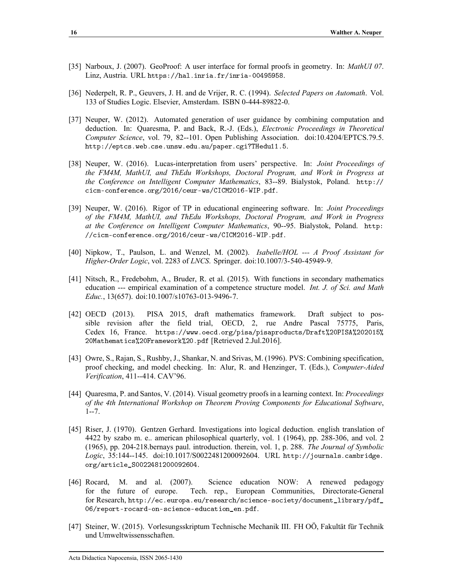- [35] Narboux, J. (2007). GeoProof: A user interface for formal proofs in geometry. In: *MathUI 07*. Linz, Austria. URL <https://hal.inria.fr/inria-00495958>.
- [36] Nederpelt, R. P., Geuvers, J. H. and de Vrijer, R. C. (1994). *Selected Papers on Automath*. Vol. 133 of Studies Logic. Elsevier, Amsterdam. ISBN 0-444-89822-0.
- [37] Neuper, W. (2012). Automated generation of user guidance by combining computation and deduction. In: Quaresma, P. and Back, R.-J. (Eds.), *Electronic Proceedings in Theoretical Computer Science*, vol. 79, 82--101. Open Publishing Association. doi:10.4204/EPTCS.79.5. <http://eptcs.web.cse.unsw.edu.au/paper.cgi?THedu11.5>.
- [38] Neuper, W. (2016). Lucas-interpretation from users' perspective. In: *Joint Proceedings of the FM4M, MathUI, and ThEdu Workshops, Doctoral Program, and Work in Progress at the Conference on Intelligent Computer Mathematics*, 83--89. Bialystok, Poland. [http://](http://cicm-conference.org/2016/ceur-ws/CICM2016-WIP.pdf) [cicm-conference.org/2016/ceur-ws/CICM2016-WIP.pdf](http://cicm-conference.org/2016/ceur-ws/CICM2016-WIP.pdf).
- [39] Neuper, W. (2016). Rigor of TP in educational engineering software. In: *Joint Proceedings of the FM4M, MathUI, and ThEdu Workshops, Doctoral Program, and Work in Progress at the Conference on Intelligent Computer Mathematics*, 90--95. Bialystok, Poland. [http:](http://cicm-conference.org/2016/ceur-ws/CICM2016-WIP.pdf) [//cicm-conference.org/2016/ceur-ws/CICM2016-WIP.pdf](http://cicm-conference.org/2016/ceur-ws/CICM2016-WIP.pdf).
- [40] Nipkow, T., Paulson, L. and Wenzel, M. (2002). *Isabelle/HOL --- A Proof Assistant for Higher-Order Logic*, vol. 2283 of *LNCS*. Springer. doi:10.1007/3-540-45949-9.
- [41] Nitsch, R., Fredebohm, A., Bruder, R. et al. (2015). With functions in secondary mathematics education --- empirical examination of a competence structure model. *Int. J. of Sci. and Math Educ.*, 13(657). doi:10.1007/s10763-013-9496-7.
- [42] OECD (2013). PISA 2015, draft mathematics framework. Draft subject to possible revision after the field trial, OECD, 2, rue Andre Pascal 75775, Paris, Cedex 16, France. [https://www.oecd.org/pisa/pisaproducts/Draft%20PISA%202015%](https://www.oecd.org/pisa/pisaproducts/Draft%20PISA%202015%20Mathematics%20Framework%20.pdf) [20Mathematics%20Framework%20.pdf](https://www.oecd.org/pisa/pisaproducts/Draft%20PISA%202015%20Mathematics%20Framework%20.pdf) [Retrieved 2.Jul.2016].
- [43] Owre, S., Rajan, S., Rushby, J., Shankar, N. and Srivas, M. (1996). PVS: Combining specification, proof checking, and model checking. In: Alur, R. and Henzinger, T. (Eds.), *Computer-Aided Verification*, 411--414. CAV'96.
- [44] Quaresma, P. and Santos, V. (2014). Visual geometry proofs in a learning context. In: *Proceedings of the 4th International Workshop on Theorem Proving Components for Educational Software*, 1--7.
- [45] Riser, J. (1970). Gentzen Gerhard. Investigations into logical deduction. english translation of 4422 by szabo m. e.. american philosophical quarterly, vol. 1 (1964), pp. 288-306, and vol. 2 (1965), pp. 204-218.bernays paul. introduction. therein, vol. 1, p. 288. *The Journal of Symbolic Logic*, 35:144--145. doi:10.1017/S0022481200092604. URL [http://journals.cambridge.](http://journals.cambridge.org/article_S0022481200092604) [org/article\\_S0022481200092604](http://journals.cambridge.org/article_S0022481200092604).
- [46] Rocard, M. and al. (2007). Science education NOW: A renewed pedagogy for the future of europe. Tech. rep., European Communities, Directorate-General for Research, [http://ec.europa.eu/research/science-society/document\\_library/pdf\\_](http://ec.europa.eu/research/science-society/document_library/pdf_06/report-rocard-on-science-education_en.pdf) [06/report-rocard-on-science-education\\_en.pdf](http://ec.europa.eu/research/science-society/document_library/pdf_06/report-rocard-on-science-education_en.pdf).
- [47] Steiner, W. (2015). Vorlesungsskriptum Technische Mechanik III. FH OÖ, Fakultät für Technik und Umweltwissensschaften.